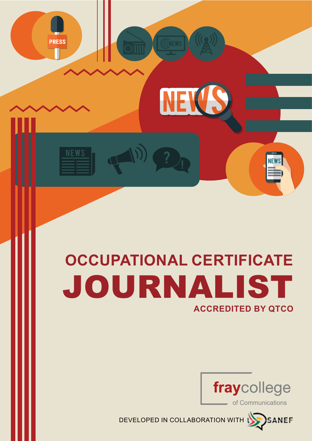# JOURNALIST **OCCUPATIONAL CERTIFICATE ACCREDITED BY QTCO**

NEW

**PRESS** 



DEVELOPED IN COLLABORATION WITH

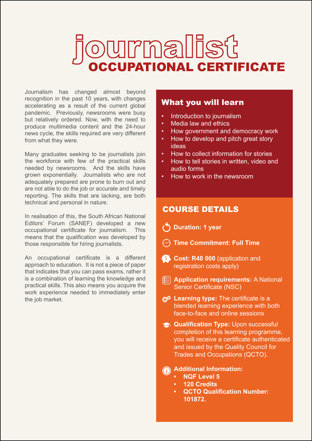# ummallist<br>Supational CERTIFICATE

Journalism has changed almost beyond recognition in the past 10 years, with changes accelerating as a result of the current global pandemic. Previously, newsrooms were busy but relatively ordered. Now, with the need to produce multimedia content and the 24-hour news cycle, the skills required are very different from what they were.

Many graduates seeking to be journalists join the workforce with few of the practical skills needed by newsrooms. And the skills have grown exponentially. Journalists who are not adequately prepared are prone to burn out and are not able to do the job or accurate and timely reporting. The skills that are lacking, are both technical and personal in nature.

In realisation of this, the South African National Editors' Forum (SANEF) developed a new occupational certificate for journalism. This means that the qualification was developed by those responsible for hiring journalists.

An occupational certificate is a different approach to education. It is not a piece of paper that indicates that you can pass exams, rather it is a combination of learning the knowledge and practical skills. This also means you acquire the work experience needed to immediately enter the job market.

#### What you will learn

- Introduction to journalism
- Media law and ethics
- How government and democracy work
- How to develop and pitch great story ideas
- How to collect information for stories
- How to tell stories in written, video and audio forms
- How to work in the newsroom

#### COURSE DETAILS

- **Duration: 1 year**
- **Time Commitment: Full Time**
- **S** Cost: R48 000 (application and registration costs apply)
- **Application requirements: A National** Senior Certificate (NSC)
- *Q***<sup>©</sup>** Learning type: The certificate is a blended learning experience with both face-to-face and online sessions
- **Qualification Type: Upon successful** completion of this learning programme, you will receive a certificate authenticated and issued by the Quality Council for Trades and Occupations (QCTO).

#### **Additional Information:**

- **• NQF Level 5**
- **• 120 Credits**
- **• QCTO Qualification Number: 101872.**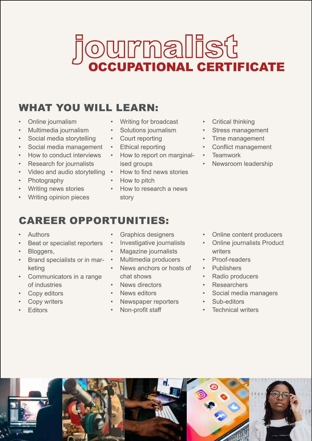# JOURNaILSt

### WHAT YOU WILL LEARN:

- Online journalism
- Multimedia journalism
- Social media storytelling
- Social media management
- How to conduct interviews
- **Research for journalists**
- Video and audio storytelling
- Photography
- Writing news stories
- Writing opinion pieces
- Writing for broadcast
- Solutions journalism
- Court reporting
- **Ethical reporting**
- How to report on marginalised groups
- How to find news stories
- How to pitch
- How to research a news story
- **Critical thinking**
- Stress management
- Time management
- Conflict management
- **Teamwork**
- Newsroom leadership

## CAREER OPPORTUNITIES:

- Authors
- Beat or specialist reporters
- Bloggers,
- Brand specialists or in marketing
- Communicators in a range of industries
- Copy editors
- **Copy writers**
- **Fditors**
- Graphics designers
- Investigative journalists
- Magazine journalists
- Multimedia producers
- News anchors or hosts of chat shows
- News directors
- News editors
- Newspaper reporters
- Non-profit staff
- Online content producers
- **Online journalists Product** writers
- Proof-readers
- Publishers
- Radio producers
- Researchers
- Social media managers
- Sub-editors
- Technical writers

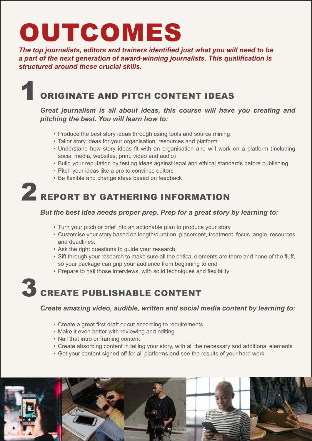# OUTCOMES

*The top journalists, editors and trainers identified just what you will need to be a part of the next generation of award-winning journalists. This qualification is structured around these crucial skills.*

## ORIGINATE AND PITCH CONTENT IDEAS

#### *Great journalism is all about ideas, this course will have you creating and pitching the best. You will learn how to:*

- Produce the best story ideas through using tools and source mining
- Tailor story ideas for your organisation, resources and platform
- Understand how story ideas fit with an organisation and will work on a platform (including social media, websites, print, video and audio)
- Build your reputation by testing ideas against legal and ethical standards before publishing
- Pitch your ideas like a pro to convince editors
- Be flexible and change ideas based on feedback

# 2 REPORT BY GATHERING INFORMATION

#### *But the best idea needs proper prep. Prep for a great story by learning to:*

- Turn your pitch or brief into an actionable plan to produce your story
- Customise your story based on length/duration, placement, treatment, focus, angle, resources and deadlines.
- Ask the right questions to guide your research
- Sift through your research to make sure all the critical elements are there and none of the fluff, so your package can grip your audience from beginning to end
- Prepare to nail those interviews, with solid techniques and flexibility

# 3 CREATE PUBLISHABLE CONTENT

*Create amazing video, audible, written and social media content by learning to:* 

- Create a great first draft or cut according to requirements
- Make it even better with reviewing and editing
- Nail that intro or framing content
- Create absorbing content in telling your story, with all the necessary and additional elements
- Get your content signed off for all platforms and see the results of your hard work

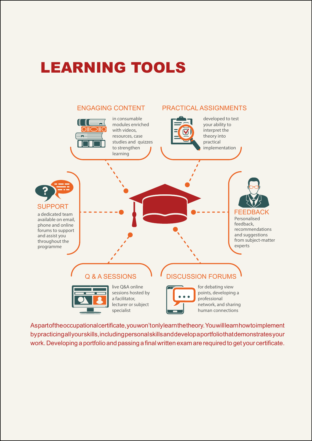## LEARNING TOOLS



As part of the occupational certificate, you won't only learn the theory. You will learn how to implement by practicing all your skills, including personal skills and develop a portfolio that demonstrates your work. Developing a portfolio and passing a final written exam are required to get your certificate.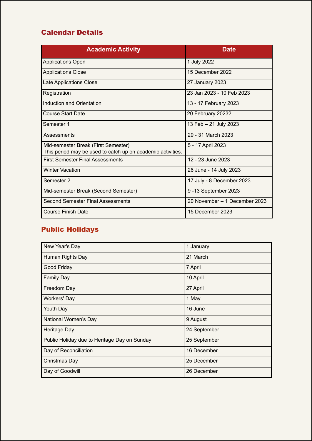#### Calendar Details

| <b>Academic Activity</b>                                                                           | <b>Date</b>                   |
|----------------------------------------------------------------------------------------------------|-------------------------------|
| <b>Applications Open</b>                                                                           | 1 July 2022                   |
| <b>Applications Close</b>                                                                          | 15 December 2022              |
| Late Applications Close                                                                            | 27 January 2023               |
| Registration                                                                                       | 23 Jan 2023 - 10 Feb 2023     |
| Induction and Orientation                                                                          | 13 - 17 February 2023         |
| <b>Course Start Date</b>                                                                           | 20 February 20232             |
| Semester 1                                                                                         | 13 Feb - 21 July 2023         |
| Assessments                                                                                        | 29 - 31 March 2023            |
| Mid-semester Break (First Semester)<br>This period may be used to catch up on academic activities. | 5 - 17 April 2023             |
| <b>First Semester Final Assessments</b>                                                            | 12 - 23 June 2023             |
| <b>Winter Vacation</b>                                                                             | 26 June - 14 July 2023        |
| Semester 2                                                                                         | 17 July - 8 December 2023     |
| Mid-semester Break (Second Semester)                                                               | 9-13 September 2023           |
| <b>Second Semester Final Assessments</b>                                                           | 20 November - 1 December 2023 |
| <b>Course Finish Date</b>                                                                          | 15 December 2023              |

#### Public Holidays

| New Year's Day                               | 1 January    |
|----------------------------------------------|--------------|
| Human Rights Day                             | 21 March     |
| Good Friday                                  | 7 April      |
| <b>Family Day</b>                            | 10 April     |
| Freedom Day                                  | 27 April     |
| <b>Workers' Day</b>                          | 1 May        |
| Youth Day                                    | 16 June      |
| National Women's Day                         | 9 August     |
| Heritage Day                                 | 24 September |
| Public Holiday due to Heritage Day on Sunday | 25 September |
| Day of Reconciliation                        | 16 December  |
| Christmas Day                                | 25 December  |
| Day of Goodwill                              | 26 December  |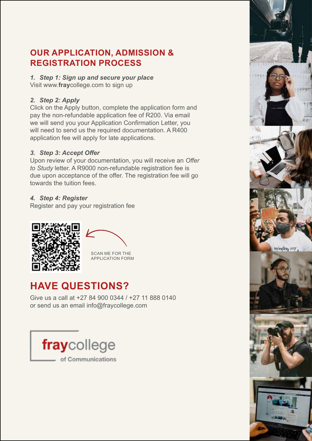#### **OUR APPLICATION, ADMISSION & REGISTRATION PROCESS**

*1. Step 1: Sign up and secure your place* Visit www.**fray**college.com to sign up

#### *2. Step 2: Apply*

Click on the Apply button, complete the application form and pay the non-refundable application fee of R200. Via email we will send you your Application Confirmation Letter, you will need to send us the required documentation. A R400 application fee will apply for late applications.

#### *3. Step 3: Accept Offer*

Upon review of your documentation, you will receive an *Offer to Study* letter. A R9000 non-refundable registration fee is due upon acceptance of the offer. The registration fee will go towards the tuition fees.

#### *4. Step 4: Register*

Register and pay your registration fee







### **HAVE QUESTIONS?**

Give us a call at +27 84 900 0344 / +27 11 888 0140 or send us an email info@fraycollege.com

fraycollege of Communications

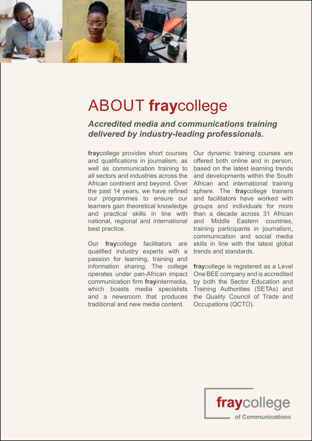

## ABOUT **fray**college

*Accredited media and communications training delivered by industry-leading professionals.*

**fray**college provides short courses and qualifications in journalism, as well as communication training to all sectors and industries across the African continent and beyond. Over African and international training the past 14 years, we have refined our programmes to ensure our and facilitators have worked with learners gain theoretical knowledge and practical skills in line with than a decade across 31 African national, regional and international best practice.

Our **fray**college facilitators are qualified industry experts with a passion for learning, training and information sharing. The college **fray**college is registered as a Level operates under pan-African impact communication firm **fray**intermedia, which boasts media specialists and a newsroom that produces traditional and new media content.

Our dynamic training courses are offered both online and in person, based on the latest learning trends and developments within the South sphere. The **fray**college trainers groups and individuals for more and Middle Eastern countries, training participants in journalism, communication and social media skills in line with the latest global trends and standards.

One BEE company and is accredited by both the Sector Education and Training Authorities (SETAs) and the Quality Council of Trade and Occupations (QCTO).

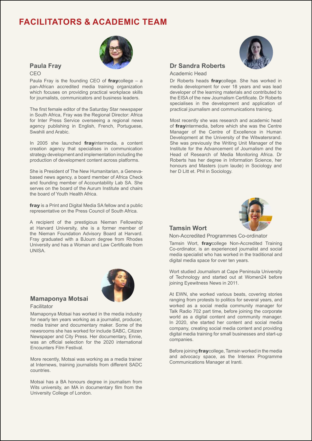#### **FACILITATORS & ACADEMIC TEAM**



#### **Paula Fray**

CEO

Paula Fray is the founding CEO of  $fraw$ college – a pan-African accredited media training organization which focuses on providing practical workplace skills for journalists, communicators and business leaders.

The first female editor of the Saturday Star newspaper in South Africa, Fray was the Regional Director: Africa for Inter Press Service overseeing a regional news agency publishing in English, French, Portuguese, Swahili and Arabic.

In 2005 she launched **fray**intermedia, a content creation agency that specialises in communication strategy development and implementation including the production of development content across platforms.

She is President of The New Humanitarian, a Genevabased news agency, a board member of Africa Check and founding member of Accountability Lab SA. She serves on the board of the Aurum Institute and chairs the board of Youth Health Africa.

fray is a Print and Digital Media SA fellow and a public representative on the Press Council of South Africa.

A recipient of the prestigious Nieman Fellowship at Harvard University, she is a former member of the Nieman Foundation Advisory Board at Harvard. Fray graduated with a BJourn degree from Rhodes University and has a Woman and Law Certificate from UNISA.



#### **Mamaponya Motsai** Facilitator

Mamaponya Motsai has worked in the media industry for nearly ten years working as a journalist, producer, media trainer and documentary maker. Some of the newsrooms she has worked for include SABC, Citizen

Newspaper and City Press. Her documentary, Ennie, was an official selection for the 2020 international Encounters Film Festival.

More recently, Motsai was working as a media trainer at Internews, training journalists from different SADC countries.

Motsai has a BA honours degree in journalism from Wits university, an MA in documentary film from the University College of London.



#### **Dr Sandra Roberts**

Academic Head

Dr Roberts heads **frav**college. She has worked in media development for over 18 years and was lead developer of the learning materials and contributed to the EISA of the new Journalism Certificate. Dr Roberts specialises in the development and application of practical journalism and communications training.

Most recently she was research and academic head of **fray**intermedia, before which she was the Centre Manager of the Centre of Excellence in Human Development at the University of the Witwatersrand. She was previously the Writing Unit Manager of the Institute for the Advancement of Journalism and the Head of Research of Media Monitoring Africa. Dr Roberts has her degree in Information Science, her honours and Masters (cum laude) in Sociology and her D Litt et. Phil in Sociology.



#### **Tamsin Wort**

Non-Accredited Programmes Co-ordinator

Tamsin Wort, fraycollege Non-Accredited Training Co-ordinator, is an experienced journalist and social media specialist who has worked in the traditional and digital media space for over ten years.

Wort studied Journalism at Cape Peninsula University of Technology and started out at Women24 before joining Eyewitness News in 2011.

At EWN, she worked various beats, covering stories ranging from protests to politics for several years, and worked as a social media community manager for Talk Radio 702 part time, before joining the corporate world as a digital content and community manager. In 2020, she started her content and social media company, creating social media content and providing digital media training for small businesses and start-up companies.

Before joining *fraycollege*, Tamsin worked in the media and advocacy space, as the Intersex Programme Communications Manager at Iranti.